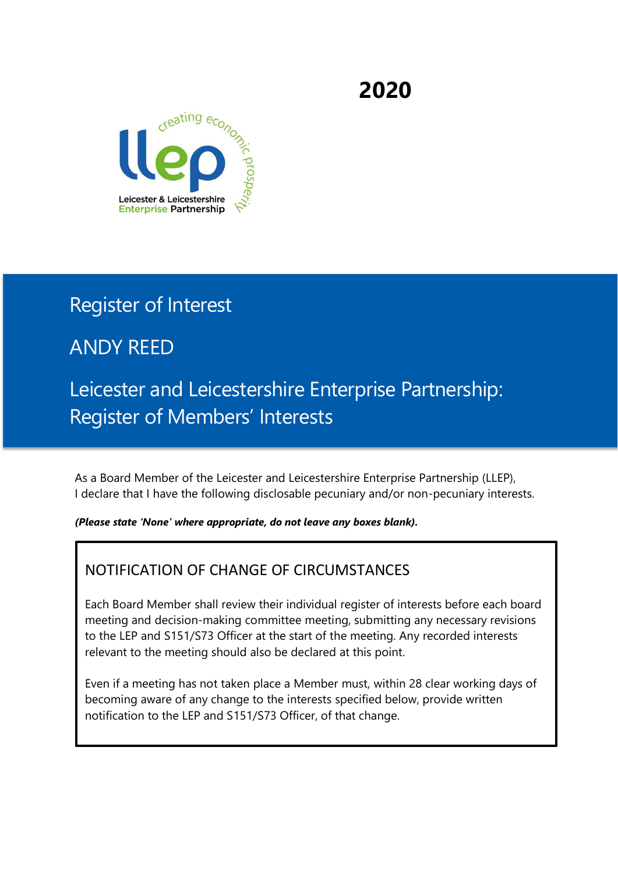**2020**



## Register of Interest

# ANDY REED

# Leicester and Leicestershire Enterprise Partnership: Register of Members' Interests

As a Board Member of the Leicester and Leicestershire Enterprise Partnership (LLEP), I declare that I have the following disclosable pecuniary and/or non-pecuniary interests.

*(Please state 'None' where appropriate, do not leave any boxes blank).* 

### NOTIFICATION OF CHANGE OF CIRCUMSTANCES

Each Board Member shall review their individual register of interests before each board meeting and decision-making committee meeting, submitting any necessary revisions to the LEP and S151/S73 Officer at the start of the meeting. Any recorded interests relevant to the meeting should also be declared at this point.

Even if a meeting has not taken place a Member must, within 28 clear working days of becoming aware of any change to the interests specified below, provide written notification to the LEP and S151/S73 Officer, of that change.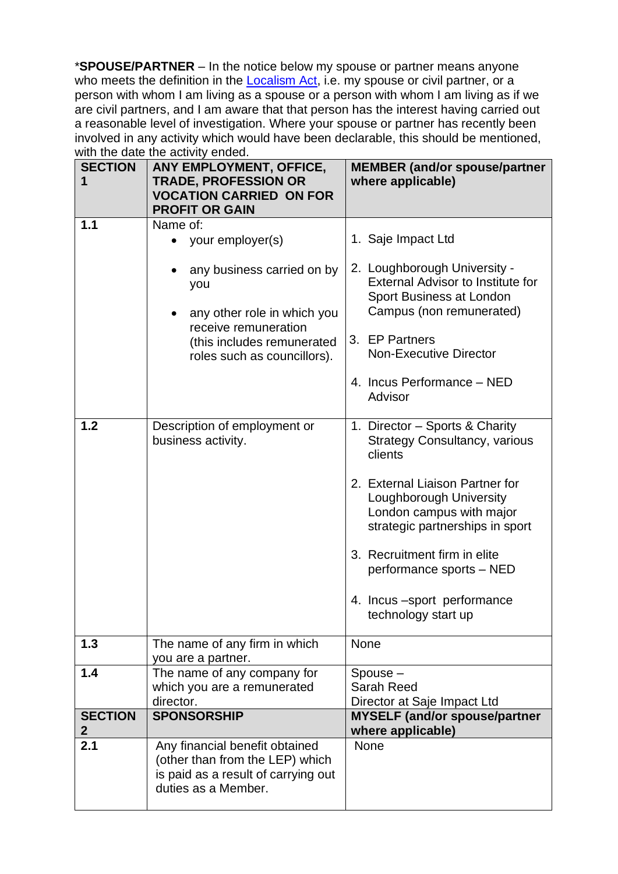\***SPOUSE/PARTNER** – In the notice below my spouse or partner means anyone who meets the definition in the [Localism Act,](http://www.legislation.gov.uk/ukpga/2011/20/contents/enacted) i.e. my spouse or civil partner, or a person with whom I am living as a spouse or a person with whom I am living as if we are civil partners, and I am aware that that person has the interest having carried out a reasonable level of investigation. Where your spouse or partner has recently been involved in any activity which would have been declarable, this should be mentioned, with the date the activity ended.

| <b>SECTION</b><br>1            | ANY EMPLOYMENT, OFFICE,<br><b>TRADE, PROFESSION OR</b><br><b>VOCATION CARRIED ON FOR</b><br><b>PROFIT OR GAIN</b>               | <b>MEMBER (and/or spouse/partner</b><br>where applicable)                                                                 |
|--------------------------------|---------------------------------------------------------------------------------------------------------------------------------|---------------------------------------------------------------------------------------------------------------------------|
| 1.1                            | Name of:<br>your employer(s)<br>any business carried on by                                                                      | 1. Saje Impact Ltd<br>2. Loughborough University -                                                                        |
|                                | you<br>any other role in which you                                                                                              | <b>External Advisor to Institute for</b><br>Sport Business at London<br>Campus (non remunerated)                          |
|                                | receive remuneration<br>(this includes remunerated<br>roles such as councillors).                                               | 3. EP Partners<br><b>Non-Executive Director</b>                                                                           |
|                                |                                                                                                                                 | 4. Incus Performance - NED<br>Advisor                                                                                     |
| 1.2                            | Description of employment or<br>business activity.                                                                              | 1. Director - Sports & Charity<br><b>Strategy Consultancy, various</b><br>clients                                         |
|                                |                                                                                                                                 | 2. External Liaison Partner for<br>Loughborough University<br>London campus with major<br>strategic partnerships in sport |
|                                |                                                                                                                                 | 3. Recruitment firm in elite<br>performance sports - NED                                                                  |
|                                |                                                                                                                                 | 4. Incus -sport performance<br>technology start up                                                                        |
| 1.3                            | The name of any firm in which<br>you are a partner.                                                                             | <b>None</b>                                                                                                               |
| 1.4                            | The name of any company for<br>which you are a remunerated<br>director.                                                         | Spouse-<br>Sarah Reed<br>Director at Saje Impact Ltd                                                                      |
| <b>SECTION</b><br>$\mathbf{2}$ | <b>SPONSORSHIP</b>                                                                                                              | <b>MYSELF (and/or spouse/partner</b><br>where applicable)                                                                 |
| 2.1                            | Any financial benefit obtained<br>(other than from the LEP) which<br>is paid as a result of carrying out<br>duties as a Member. | <b>None</b>                                                                                                               |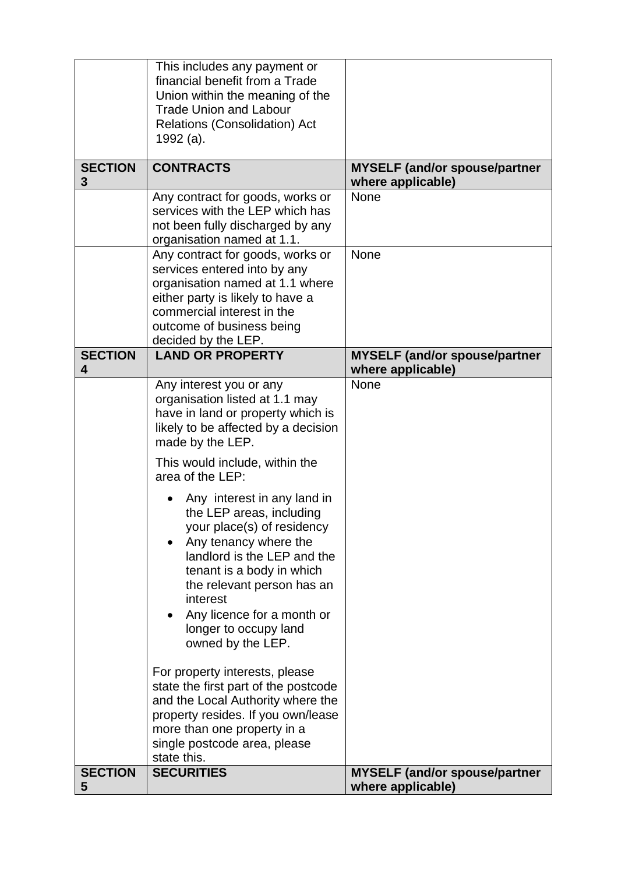|                     | This includes any payment or<br>financial benefit from a Trade<br>Union within the meaning of the<br><b>Trade Union and Labour</b><br><b>Relations (Consolidation) Act</b><br>1992 (a).                                                                                                                                                                                                                                                                                                                                                                 |                                                           |
|---------------------|---------------------------------------------------------------------------------------------------------------------------------------------------------------------------------------------------------------------------------------------------------------------------------------------------------------------------------------------------------------------------------------------------------------------------------------------------------------------------------------------------------------------------------------------------------|-----------------------------------------------------------|
| <b>SECTION</b><br>3 | <b>CONTRACTS</b>                                                                                                                                                                                                                                                                                                                                                                                                                                                                                                                                        | <b>MYSELF (and/or spouse/partner</b><br>where applicable) |
|                     | Any contract for goods, works or<br>services with the LEP which has<br>not been fully discharged by any<br>organisation named at 1.1.                                                                                                                                                                                                                                                                                                                                                                                                                   | <b>None</b>                                               |
|                     | Any contract for goods, works or<br>services entered into by any<br>organisation named at 1.1 where<br>either party is likely to have a<br>commercial interest in the<br>outcome of business being<br>decided by the LEP.                                                                                                                                                                                                                                                                                                                               | <b>None</b>                                               |
| <b>SECTION</b><br>4 | <b>LAND OR PROPERTY</b>                                                                                                                                                                                                                                                                                                                                                                                                                                                                                                                                 | <b>MYSELF (and/or spouse/partner</b><br>where applicable) |
|                     | Any interest you or any<br>organisation listed at 1.1 may<br>have in land or property which is<br>likely to be affected by a decision<br>made by the LEP.<br>This would include, within the                                                                                                                                                                                                                                                                                                                                                             | None                                                      |
|                     | area of the LEP:<br>Any interest in any land in<br>the LEP areas, including<br>your place(s) of residency<br>Any tenancy where the<br>landlord is the LEP and the<br>tenant is a body in which<br>the relevant person has an<br>interest<br>Any licence for a month or<br>longer to occupy land<br>owned by the LEP.<br>For property interests, please<br>state the first part of the postcode<br>and the Local Authority where the<br>property resides. If you own/lease<br>more than one property in a<br>single postcode area, please<br>state this. |                                                           |
| <b>SECTION</b><br>5 | <b>SECURITIES</b>                                                                                                                                                                                                                                                                                                                                                                                                                                                                                                                                       | <b>MYSELF (and/or spouse/partner</b><br>where applicable) |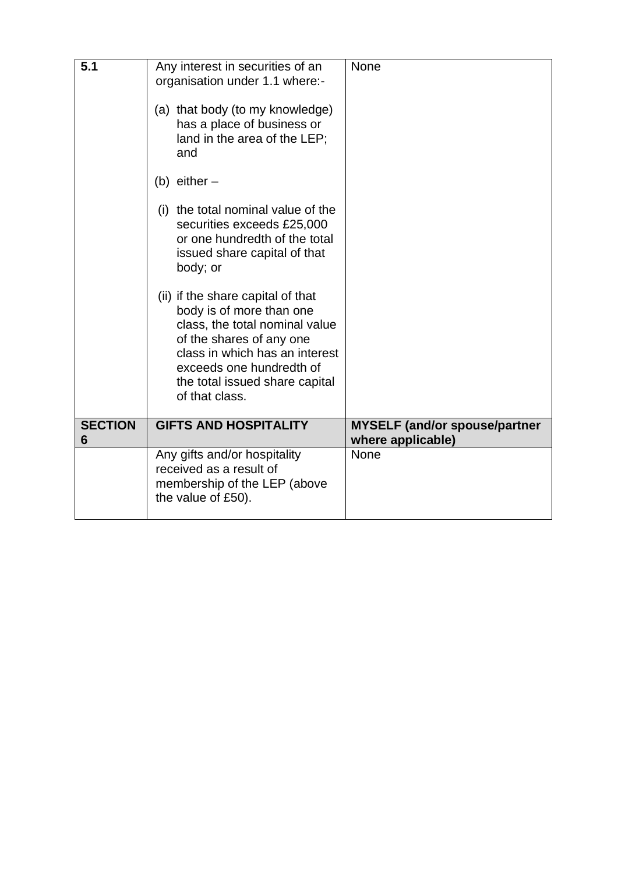| 5.1                 | Any interest in securities of an<br>organisation under 1.1 where:-<br>(a) that body (to my knowledge)<br>has a place of business or<br>land in the area of the LEP;<br>and<br>(b) either $-$<br>(i) the total nominal value of the<br>securities exceeds £25,000<br>or one hundredth of the total<br>issued share capital of that<br>body; or<br>(ii) if the share capital of that<br>body is of more than one<br>class, the total nominal value<br>of the shares of any one<br>class in which has an interest<br>exceeds one hundredth of<br>the total issued share capital<br>of that class. | <b>None</b>                                               |
|---------------------|------------------------------------------------------------------------------------------------------------------------------------------------------------------------------------------------------------------------------------------------------------------------------------------------------------------------------------------------------------------------------------------------------------------------------------------------------------------------------------------------------------------------------------------------------------------------------------------------|-----------------------------------------------------------|
| <b>SECTION</b><br>6 | <b>GIFTS AND HOSPITALITY</b>                                                                                                                                                                                                                                                                                                                                                                                                                                                                                                                                                                   | <b>MYSELF (and/or spouse/partner</b><br>where applicable) |
|                     | Any gifts and/or hospitality<br>received as a result of<br>membership of the LEP (above<br>the value of £50).                                                                                                                                                                                                                                                                                                                                                                                                                                                                                  | <b>None</b>                                               |